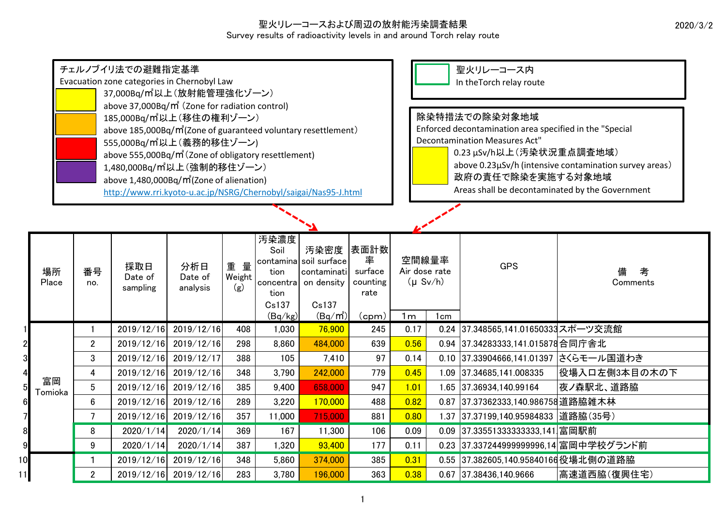2020/3/2

## 聖火リレーコースおよび周辺の放射能汚染調査結果 Survey results of radioactivity levels in and around Torch relay route

|                | チェルノブイリ法での避難指定基準<br>Evacuation zone categories in Chernobyl Law<br>37,000Bq/m2以上(放射能管理強化ゾーン)<br>above 37,000Bq/m <sup>2</sup> (Zone for radiation control)<br>185,000Bq/m2以上(移住の権利ゾーン)<br>above 185,000Bq/m <sup>2</sup> (Zone of guaranteed voluntary resettlement)<br>555,000Bq/m2以上(義務的移住ゾーン)<br>above 555,000Bq/m <sup>2</sup> (Zone of obligatory resettlement)<br>1,480,000Bq/m2以上 (強制的移住ゾーン) |                         |                            |                            |                     |                                                               |                                                                                                                                         |     |                                                                             |                                                 | 聖火リレーコース内<br>In the Torch relay route<br>除染特措法での除染対象地域<br>Enforced decontamination area specified in the "Special<br><b>Decontamination Measures Act"</b><br>0.23 µSv/h以上(汚染状況重点調査地域)<br>above 0.23µSv/h (intensive contamination survey areas)<br>政府の責任で除染を実施する対象地域 |                    |  |  |  |
|----------------|-----------------------------------------------------------------------------------------------------------------------------------------------------------------------------------------------------------------------------------------------------------------------------------------------------------------------------------------------------------------------------------------------------|-------------------------|----------------------------|----------------------------|---------------------|---------------------------------------------------------------|-----------------------------------------------------------------------------------------------------------------------------------------|-----|-----------------------------------------------------------------------------|-------------------------------------------------|----------------------------------------------------------------------------------------------------------------------------------------------------------------------------------------------------------------------------------------------------------------------|--------------------|--|--|--|
|                | above 1,480,000Bq/m2 (Zone of alienation)<br>http://www.rri.kyoto-u.ac.jp/NSRG/Chernobyl/saigai/Nas95-J.html                                                                                                                                                                                                                                                                                        |                         |                            |                            |                     |                                                               |                                                                                                                                         |     |                                                                             | Areas shall be decontaminated by the Government |                                                                                                                                                                                                                                                                      |                    |  |  |  |
|                |                                                                                                                                                                                                                                                                                                                                                                                                     |                         |                            |                            |                     |                                                               |                                                                                                                                         |     |                                                                             |                                                 |                                                                                                                                                                                                                                                                      |                    |  |  |  |
|                | 場所<br>Place                                                                                                                                                                                                                                                                                                                                                                                         | 番号<br>no.               | 採取日<br>Date of<br>sampling | 分析日<br>Date of<br>analysis | 重量<br>Weight<br>(g) | 汚染濃度<br>Soil<br>tion<br>concentra<br>tion<br>Cs137<br>(Bq/kg) | 表面計数<br>汚染密度<br>率<br>contamina soil surface<br>surface<br>contaminati<br>counting<br>on density<br>rate<br>Cs137<br>$(Bq/m^2)$<br>(cpm) |     | 空間線量率<br>Air dose rate<br>$(\mu Sv/h)$<br>1 <sub>m</sub><br>1 <sub>cm</sub> |                                                 | <b>GPS</b>                                                                                                                                                                                                                                                           | 備<br>考<br>Comments |  |  |  |
|                |                                                                                                                                                                                                                                                                                                                                                                                                     |                         | 2019/12/16                 | 2019/12/16                 | 408                 | 1,030                                                         | 76,900                                                                                                                                  | 245 | 0.17                                                                        | 0.24                                            | 37.348565,141.01650333スポーツ交流館                                                                                                                                                                                                                                        |                    |  |  |  |
|                |                                                                                                                                                                                                                                                                                                                                                                                                     | $\overline{2}$          | 2019/12/16                 | 2019/12/16                 | 298                 | 8,860                                                         | 484,000                                                                                                                                 | 639 | 0.56                                                                        |                                                 | 0.94 37.34283333,141.015878 合同庁舎北                                                                                                                                                                                                                                    |                    |  |  |  |
| $\frac{2}{3}$  |                                                                                                                                                                                                                                                                                                                                                                                                     | 3                       |                            | 2019/12/16 2019/12/17      | 388                 | 105                                                           | 7,410                                                                                                                                   | 97  | 0.14                                                                        |                                                 | 0.10 37.33904666,141.01397 さくらモール国道わき                                                                                                                                                                                                                                |                    |  |  |  |
| $\overline{4}$ |                                                                                                                                                                                                                                                                                                                                                                                                     | $\overline{\mathbf{4}}$ | 2019/12/16                 | 2019/12/16                 | 348                 | 3,790                                                         | 242,000                                                                                                                                 | 779 | 0.45                                                                        |                                                 | 1.09 37.34685,141.008335                                                                                                                                                                                                                                             | 役場入口左側3本目の木の下      |  |  |  |
| $\overline{5}$ | 富岡<br>Tomioka                                                                                                                                                                                                                                                                                                                                                                                       | $5\overline{)}$         | 2019/12/16                 | 2019/12/16                 | 385                 | 9,400                                                         | 658,000                                                                                                                                 | 947 | 1.01                                                                        |                                                 | 1.65 37.36934,140.99164                                                                                                                                                                                                                                              | 夜ノ森駅北、道路脇          |  |  |  |
| $6\vert$       |                                                                                                                                                                                                                                                                                                                                                                                                     | $6\phantom{1}$          | 2019/12/16                 | 2019/12/16                 | 289                 | 3,220                                                         | 170,000                                                                                                                                 | 488 | 0.82                                                                        | 0.87                                            | 37.37362333,140.986758 道路脇雑木林                                                                                                                                                                                                                                        |                    |  |  |  |
| $\overline{7}$ |                                                                                                                                                                                                                                                                                                                                                                                                     | $\overline{7}$          | 2019/12/16                 | 2019/12/16                 | 357                 | 11,000                                                        | 715,000                                                                                                                                 | 881 | 0.80                                                                        | 1.37                                            | 37.37199,140.95984833  道路脇(35号)                                                                                                                                                                                                                                      |                    |  |  |  |
| $\bf{8}$       |                                                                                                                                                                                                                                                                                                                                                                                                     | 8                       | 2020/1/14                  | 2020/1/14                  | 369                 | 167                                                           | 11,300                                                                                                                                  | 106 | 0.09                                                                        | 0.09                                            | 37.33551333333333,141 富岡駅前                                                                                                                                                                                                                                           |                    |  |  |  |
| $\overline{9}$ |                                                                                                                                                                                                                                                                                                                                                                                                     | 9                       | 2020/1/14                  | 2020/1/14                  | 387                 | 1,320                                                         | 93,400                                                                                                                                  | 177 | 0.11                                                                        |                                                 | 0.23 37.337244999999996,14 富岡中学校グランド前                                                                                                                                                                                                                                |                    |  |  |  |
| 10             |                                                                                                                                                                                                                                                                                                                                                                                                     | 1                       | 2019/12/16                 | 2019/12/16                 | 348                 | 5,860                                                         | 374,000                                                                                                                                 | 385 | 0.31                                                                        |                                                 | 0.55 37.382605,140.95840166役場北側の道路脇                                                                                                                                                                                                                                  |                    |  |  |  |
| 11             |                                                                                                                                                                                                                                                                                                                                                                                                     | $\overline{2}$          |                            | 2019/12/16 2019/12/16      | 283                 | 3,780                                                         | 196,000                                                                                                                                 | 363 | 0.38                                                                        |                                                 | 0.67 37.38436,140.9666                                                                                                                                                                                                                                               | 高速道西脇(復興住宅)        |  |  |  |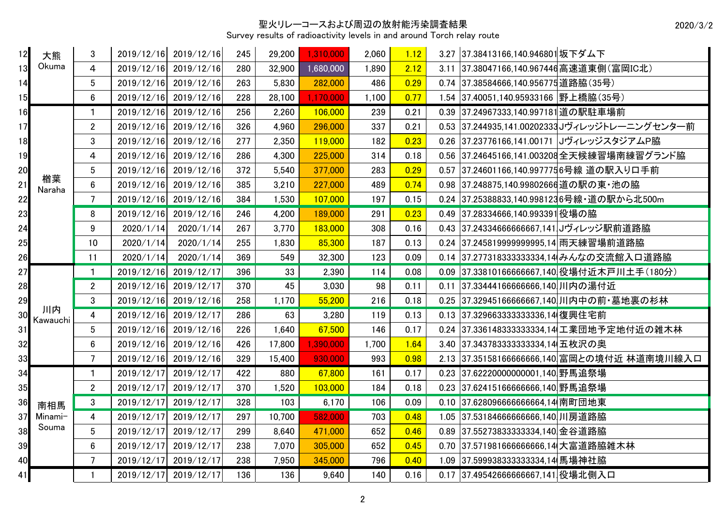## 聖火リレーコースおよび周辺の放射能汚染調査結果

Survey results of radioactivity levels in and around Torch relay route

| 12 | 大熊             | 3              | 2019/12/16 | 2019/12/16            | 245 | 29,200 | 1,310,000 | 2,060 | 1.12 |      | 3.27 37.38413166,140.946801坂下ダム下     |                                             |
|----|----------------|----------------|------------|-----------------------|-----|--------|-----------|-------|------|------|--------------------------------------|---------------------------------------------|
| 13 | Okuma          | 4              | 2019/12/16 | 2019/12/16            | 280 | 32,900 | 1,680,000 | 1,890 | 2.12 | 3.11 | 37.38047166,140.967446高速道東側(富岡IC北)   |                                             |
| 14 |                | 5              | 2019/12/16 | 2019/12/16            | 263 | 5,830  | 282,000   | 486   | 0.29 |      | 0.74 37.38584666,140.956775 道路脇(35号) |                                             |
| 15 |                | $6\phantom{.}$ |            | 2019/12/16 2019/12/16 | 228 | 28,100 | 1,170,000 | 1,100 | 0.77 |      | 1.54 37.40051,140.95933166 野上橋脇(35号) |                                             |
| 16 |                | 1              | 2019/12/16 | 2019/12/16            | 256 | 2,260  | 106,000   | 239   | 0.21 | 0.39 | 37.24967333,140.997181 道の駅駐車場前       |                                             |
| 17 |                | $\overline{2}$ | 2019/12/16 | 2019/12/16            | 326 | 4,960  | 296,000   | 337   | 0.21 | 0.53 |                                      | 37.244935,141.00202333JJヴィレッジトレーニングセンター前    |
| 18 |                | 3              | 2019/12/16 | 2019/12/16            | 277 | 2,350  | 119,000   | 182   | 0.23 | 0.26 |                                      | 37.23776166.141.00171  JヴィレッジスタジアムP脇        |
| 19 |                | 4              | 2019/12/16 | 2019/12/16            | 286 | 4,300  | 225,000   | 314   | 0.18 | 0.56 |                                      | 37.24645166,141.003208 全天候練習場南練習グランド脇       |
| 20 |                | 5              | 2019/12/16 | 2019/12/16            | 372 | 5,540  | 377,000   | 283   | 0.29 | 0.57 |                                      | 37.24601166,140.997775 6号線 道の駅入り口手前         |
| 21 | 楢葉<br>Naraha   | $6\phantom{a}$ | 2019/12/16 | 2019/12/16            | 385 | 3,210  | 227,000   | 489   | 0.74 | 0.98 | 37.248875,140.99802666 道の駅の東・池の脇     |                                             |
| 22 |                | $\overline{7}$ | 2019/12/16 | 2019/12/16            | 384 | 1,530  | 107,000   | 197   | 0.15 | 0.24 |                                      | 37.25388833,140.9981236号線・道の駅から北500m        |
| 23 |                | 8              | 2019/12/16 | 2019/12/16            | 246 | 4,200  | 189,000   | 291   | 0.23 | 0.49 | 37.28334666,140.993391 役場の脇          |                                             |
| 24 |                | 9              | 2020/1/14  | 2020/1/14             | 267 | 3,770  | 183,000   | 308   | 0.16 | 0.43 | 37.24334666666667,141  げィレッジ駅前道路脇    |                                             |
| 25 |                | 10             | 2020/1/14  | 2020/1/14             | 255 | 1,830  | 85,300    | 187   | 0.13 | 0.24 | 37.245819999999995,14 雨天練習場前道路脇      |                                             |
| 26 |                | 11             | 2020/1/14  | 2020/1/14             | 369 | 549    | 32,300    | 123   | 0.09 |      |                                      | 0.14  37.277318333333334,14 みんなの交流館入口道路脇    |
| 27 |                | $\mathbf{1}$   | 2019/12/16 | 2019/12/17            | 396 | 33     | 2,390     | 114   | 0.08 | 0.09 |                                      | 37.33810166666667,140 役場付近木戸川土手(180分)       |
| 28 |                | $\overline{2}$ | 2019/12/16 | 2019/12/17            | 370 | 45     | 3,030     | 98    | 0.11 |      | 0.11 37.33444166666666,140川内の湯付近     |                                             |
| 29 |                | 3              | 2019/12/16 | 2019/12/16            | 258 | 1,170  | 55,200    | 216   | 0.18 | 0.25 |                                      | 37.32945166666667,140 川内中の前・墓地裏の杉林          |
| 30 | 川内<br>Kawauchi | 4              | 2019/12/16 | 2019/12/17            | 286 | 63     | 3,280     | 119   | 0.13 |      | 0.13 37.3296633333333336.14 復興住宅前    |                                             |
| 31 |                | 5              | 2019/12/16 | 2019/12/16            | 226 | 1,640  | 67,500    | 146   | 0.17 | 0.24 |                                      | 37.3361483333333334,14 工業団地予定地付近の雑木林        |
| 32 |                | $6\phantom{a}$ | 2019/12/16 | 2019/12/16            | 426 | 17,800 | 1,390,000 | 1,700 | 1.64 |      | 3.40 37.343783333333334,14 五枚沢の奥     |                                             |
| 33 |                | $\overline{7}$ |            | 2019/12/16 2019/12/16 | 329 | 15,400 | 930,000   | 993   | 0.98 |      |                                      | 2.13 37.35158166666666,140 富岡との境付近 林道南境川線入口 |
| 34 |                | $\mathbf{1}$   | 2019/12/17 | 2019/12/17            | 422 | 880    | 67,800    | 161   | 0.17 |      | 0.23 37.62220000000001,140 野馬追祭場     |                                             |
| 35 |                | $\overline{2}$ | 2019/12/17 | 2019/12/17            | 370 | 1,520  | 103,000   | 184   | 0.18 |      | 0.23 37.62415166666666,140 野馬追祭場     |                                             |
| 36 | 南相馬            | 3              | 2019/12/17 | 2019/12/17            | 328 | 103    | 6,170     | 106   | 0.09 |      | 0.10 37.628096666666664,14 南町団地東     |                                             |
| 37 | Minami-        | $\overline{4}$ | 2019/12/17 | 2019/12/17            | 297 | 10,700 | 582,000   | 703   | 0.48 | 1.05 | 37.53184666666666.140 川房道路脇          |                                             |
| 38 | Souma          | 5              | 2019/12/17 | 2019/12/17            | 299 | 8,640  | 471,000   | 652   | 0.46 | 0.89 | 37.55273833333334,140 金谷道路脇          |                                             |
| 39 |                | 6              | 2019/12/17 | 2019/12/17            | 238 | 7,070  | 305,000   | 652   | 0.45 |      | 0.70 37.571981666666666,14 大富道路脇雑木林  |                                             |
| 40 |                | $\overline{7}$ | 2019/12/17 | 2019/12/17            | 238 | 7,950  | 345,000   | 796   | 0.40 |      | 1.09 37.599938333333334,14 馬場神社脇     |                                             |
| 41 |                |                | 2019/12/17 | 2019/12/17            | 136 | 136    | 9,640     | 140   | 0.16 |      | 0.17 37.49542666666667,141 役場北側入口    |                                             |